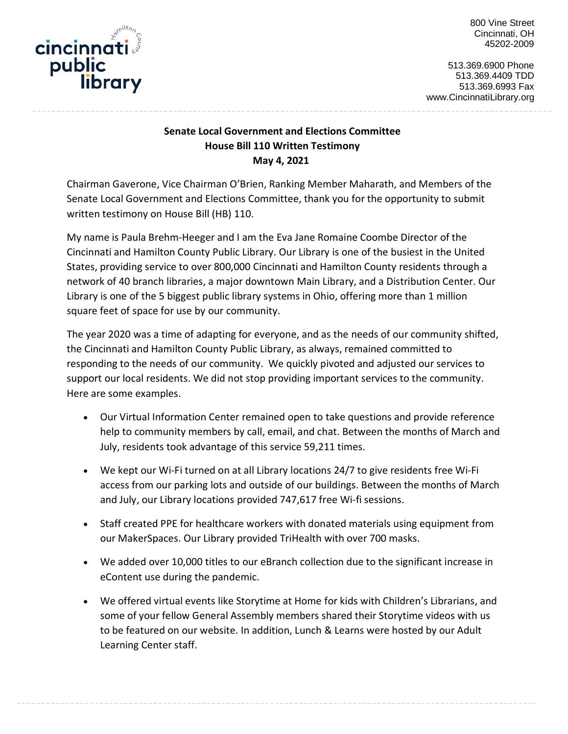

800 Vine Street Cincinnati, OH 45202-2009

513.369.6900 Phone 513.369.4409 TDD 513.369.6993 Fax www.CincinnatiLibrary.org

## **Senate Local Government and Elections Committee House Bill 110 Written Testimony May 4, 2021**

Chairman Gaverone, Vice Chairman O'Brien, Ranking Member Maharath, and Members of the Senate Local Government and Elections Committee, thank you for the opportunity to submit written testimony on House Bill (HB) 110.

My name is Paula Brehm-Heeger and I am the Eva Jane Romaine Coombe Director of the Cincinnati and Hamilton County Public Library. Our Library is one of the busiest in the United States, providing service to over 800,000 Cincinnati and Hamilton County residents through a network of 40 branch libraries, a major downtown Main Library, and a Distribution Center. Our Library is one of the 5 biggest public library systems in Ohio, offering more than 1 million square feet of space for use by our community.

The year 2020 was a time of adapting for everyone, and as the needs of our community shifted, the Cincinnati and Hamilton County Public Library, as always, remained committed to responding to the needs of our community. We quickly pivoted and adjusted our services to support our local residents. We did not stop providing important services to the community. Here are some examples.

- Our Virtual Information Center remained open to take questions and provide reference help to community members by call, email, and chat. Between the months of March and July, residents took advantage of this service 59,211 times.
- We kept our Wi-Fi turned on at all Library locations 24/7 to give residents free Wi-Fi access from our parking lots and outside of our buildings. Between the months of March and July, our Library locations provided 747,617 free Wi-fi sessions.
- Staff created PPE for healthcare workers with donated materials using equipment from our MakerSpaces. Our Library provided TriHealth with over 700 masks.
- We added over 10,000 titles to our eBranch collection due to the significant increase in eContent use during the pandemic.
- We offered virtual events like Storytime at Home for kids with Children's Librarians, and some of your fellow General Assembly members shared their Storytime videos with us to be featured on our website. In addition, Lunch & Learns were hosted by our Adult Learning Center staff.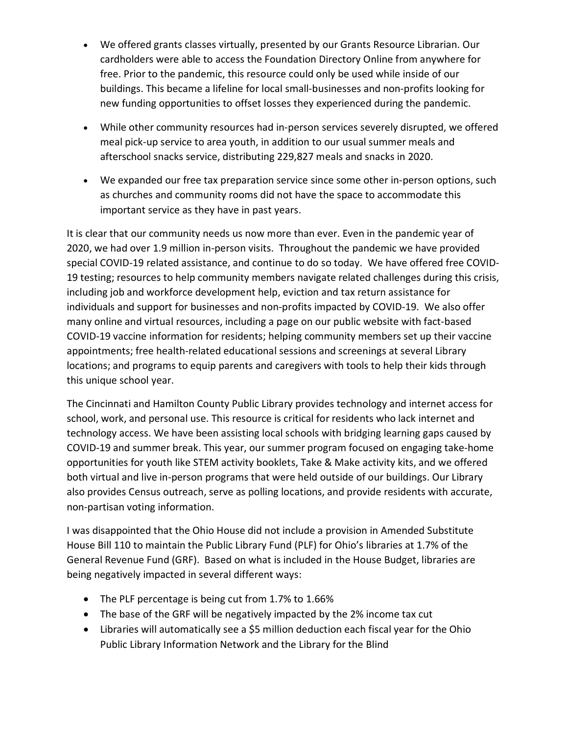- We offered grants classes virtually, presented by our Grants Resource Librarian. Our cardholders were able to access the Foundation Directory Online from anywhere for free. Prior to the pandemic, this resource could only be used while inside of our buildings. This became a lifeline for local small-businesses and non-profits looking for new funding opportunities to offset losses they experienced during the pandemic.
- While other community resources had in-person services severely disrupted, we offered meal pick-up service to area youth, in addition to our usual summer meals and afterschool snacks service, distributing 229,827 meals and snacks in 2020.
- We expanded our free tax preparation service since some other in-person options, such as churches and community rooms did not have the space to accommodate this important service as they have in past years.

It is clear that our community needs us now more than ever. Even in the pandemic year of 2020, we had over 1.9 million in-person visits. Throughout the pandemic we have provided special COVID-19 related assistance, and continue to do so today. We have offered free COVID-19 testing; resources to help community members navigate related challenges during this crisis, including job and workforce development help, eviction and tax return assistance for individuals and support for businesses and non-profits impacted by COVID-19. We also offer many online and virtual resources, including a page on our public website with fact-based COVID-19 vaccine information for residents; helping community members set up their vaccine appointments; free health-related educational sessions and screenings at several Library locations; and programs to equip parents and caregivers with tools to help their kids through this unique school year.

The Cincinnati and Hamilton County Public Library provides technology and internet access for school, work, and personal use. This resource is critical for residents who lack internet and technology access. We have been assisting local schools with bridging learning gaps caused by COVID-19 and summer break. This year, our summer program focused on engaging take-home opportunities for youth like STEM activity booklets, Take & Make activity kits, and we offered both virtual and live in-person programs that were held outside of our buildings. Our Library also provides Census outreach, serve as polling locations, and provide residents with accurate, non-partisan voting information.

I was disappointed that the Ohio House did not include a provision in Amended Substitute House Bill 110 to maintain the Public Library Fund (PLF) for Ohio's libraries at 1.7% of the General Revenue Fund (GRF). Based on what is included in the House Budget, libraries are being negatively impacted in several different ways:

- The PLF percentage is being cut from 1.7% to 1.66%
- The base of the GRF will be negatively impacted by the 2% income tax cut
- Libraries will automatically see a \$5 million deduction each fiscal year for the Ohio Public Library Information Network and the Library for the Blind